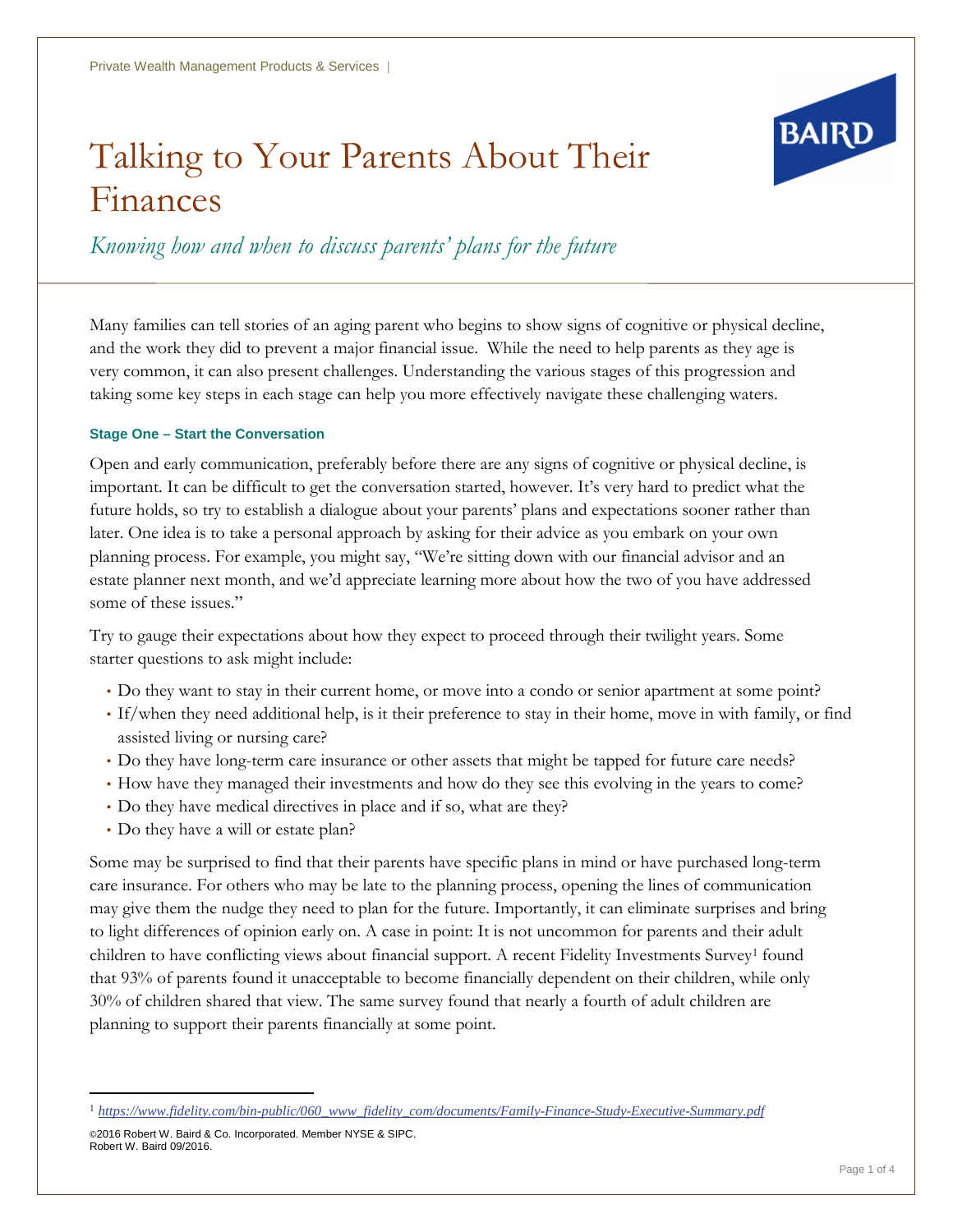# Talking to Your Parents About Their Finances



*Knowing how and when to discuss parents' plans for the future*

Many families can tell stories of an aging parent who begins to show signs of cognitive or physical decline, and the work they did to prevent a major financial issue. While the need to help parents as they age is very common, it can also present challenges. Understanding the various stages of this progression and taking some key steps in each stage can help you more effectively navigate these challenging waters.

#### **Stage One – Start the Conversation**

Open and early communication, preferably before there are any signs of cognitive or physical decline, is important. It can be difficult to get the conversation started, however. It's very hard to predict what the future holds, so try to establish a dialogue about your parents' plans and expectations sooner rather than later. One idea is to take a personal approach by asking for their advice as you embark on your own planning process. For example, you might say, "We're sitting down with our financial advisor and an estate planner next month, and we'd appreciate learning more about how the two of you have addressed some of these issues."

Try to gauge their expectations about how they expect to proceed through their twilight years. Some starter questions to ask might include:

- Do they want to stay in their current home, or move into a condo or senior apartment at some point?
- If/when they need additional help, is it their preference to stay in their home, move in with family, or find assisted living or nursing care?
- Do they have long-term care insurance or other assets that might be tapped for future care needs?
- How have they managed their investments and how do they see this evolving in the years to come?
- Do they have medical directives in place and if so, what are they?
- Do they have a will or estate plan?

Some may be surprised to find that their parents have specific plans in mind or have purchased long-term care insurance. For others who may be late to the planning process, opening the lines of communication may give them the nudge they need to plan for the future. Importantly, it can eliminate surprises and bring to light differences of opinion early on. A case in point: It is not uncommon for parents and their adult children to have conflicting views about financial support. A recent Fidelity Investments Survey[1](#page-0-0) found that 93% of parents found it unacceptable to become financially dependent on their children, while only 30% of children shared that view. The same survey found that nearly a fourth of adult children are planning to support their parents financially at some point.

<span id="page-0-0"></span> <sup>1</sup> *[https://www.fidelity.com/bin-public/060\\_www\\_fidelity\\_com/documents/Family-Finance-Study-Executive-Summary.pdf](https://www.fidelity.com/bin-public/060_www_fidelity_com/documents/Family-Finance-Study-Executive-Summary.pdf)*

<sup>©2016</sup> Robert W. Baird & Co. Incorporated. Member NYSE & SIPC. Robert W. Baird 09/2016.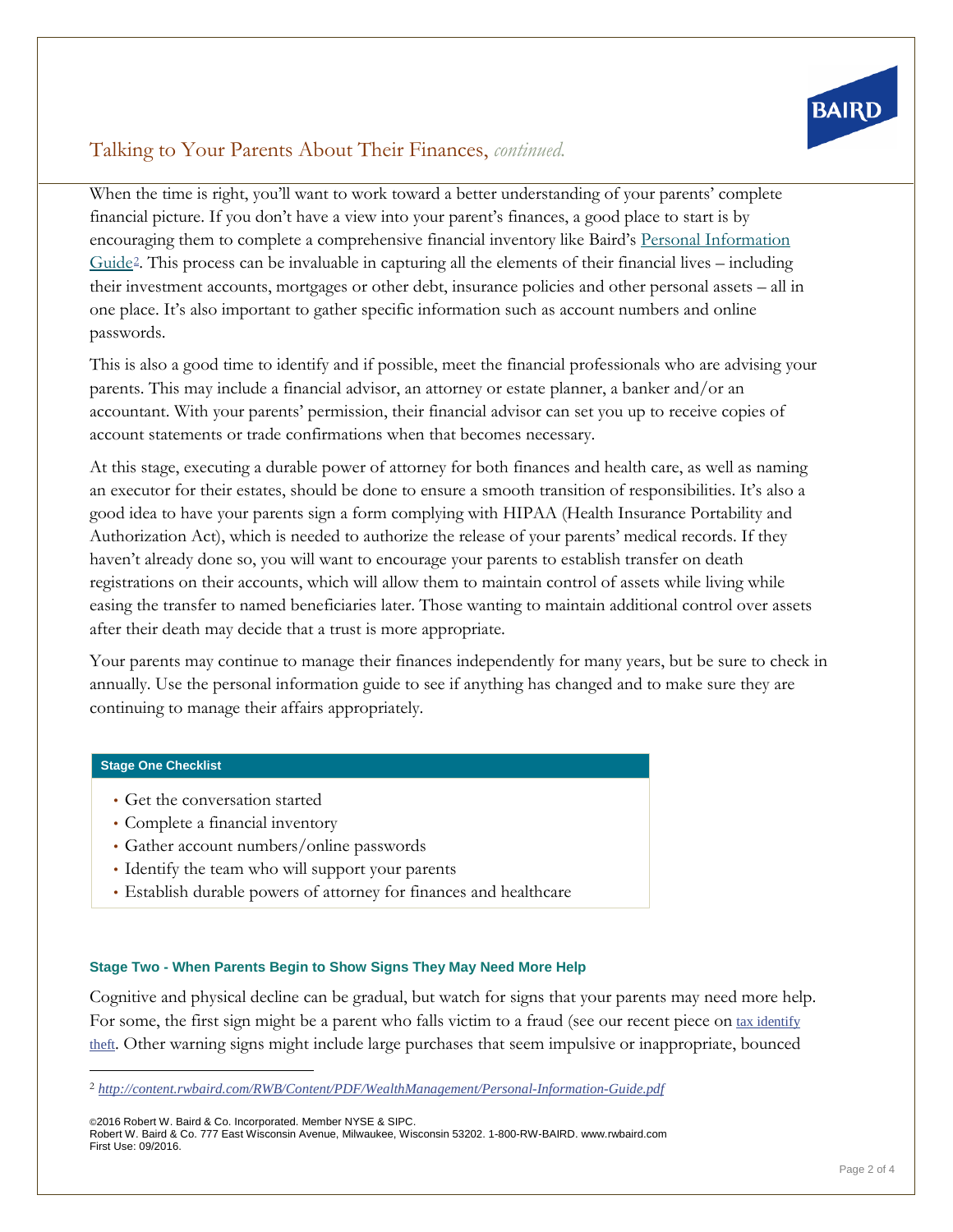

## Talking to Your Parents About Their Finances, *continued.*

When the time is right, you'll want to work toward a better understanding of your parents' complete financial picture. If you don't have a view into your parent's finances, a good place to start is by encouraging them to complete a comprehensive financial inventory like Baird's Personal [Information](http://content.rwbaird.com/RWB/Content/PDF/WealthManagement/Personal-Information-Guide.pdf)  $Guide<sup>2</sup>$  $Guide<sup>2</sup>$  $Guide<sup>2</sup>$  $Guide<sup>2</sup>$ . This process can be invaluable in capturing all the elements of their financial lives – including their investment accounts, mortgages or other debt, insurance policies and other personal assets – all in one place. It's also important to gather specific information such as account numbers and online passwords.

This is also a good time to identify and if possible, meet the financial professionals who are advising your parents. This may include a financial advisor, an attorney or estate planner, a banker and/or an accountant. With your parents' permission, their financial advisor can set you up to receive copies of account statements or trade confirmations when that becomes necessary.

At this stage, executing a durable power of attorney for both finances and health care, as well as naming an executor for their estates, should be done to ensure a smooth transition of responsibilities. It's also a good idea to have your parents sign a form complying with HIPAA (Health Insurance Portability and Authorization Act), which is needed to authorize the release of your parents' medical records. If they haven't already done so, you will want to encourage your parents to establish transfer on death registrations on their accounts, which will allow them to maintain control of assets while living while easing the transfer to named beneficiaries later. Those wanting to maintain additional control over assets after their death may decide that a trust is more appropriate.

Your parents may continue to manage their finances independently for many years, but be sure to check in annually. Use the personal information guide to see if anything has changed and to make sure they are continuing to manage their affairs appropriately.

#### **Stage One Checklist**

- Get the conversation started
- Complete a financial inventory
- Gather account numbers/online passwords
- Identify the team who will support your parents
- Establish durable powers of attorney for finances and healthcare

#### **Stage Two - When Parents Begin to Show Signs They May Need More Help**

Cognitive and physical decline can be gradual, but watch for signs that your parents may need more help. For some, the first sign might be a parent who falls victim to a fraud (see our recent piece on tax [identify](http://www.rwbaird.com/news/Steffen-Cautions-Taxpayers-be-Alert-to-Identity-Theft-Risk) [theft](http://www.rwbaird.com/news/Steffen-Cautions-Taxpayers-be-Alert-to-Identity-Theft-Risk). Other warning signs might include large purchases that seem impulsive or inappropriate, bounced

<span id="page-1-0"></span> <sup>2</sup> *<http://content.rwbaird.com/RWB/Content/PDF/WealthManagement/Personal-Information-Guide.pdf>*

<sup>©2016</sup> Robert W. Baird & Co. Incorporated. Member NYSE & SIPC.

Robert W. Baird & Co. 777 East Wisconsin Avenue, Milwaukee, Wisconsin 53202. 1-800-RW-BAIRD. www.rwbaird.com First Use: 09/2016.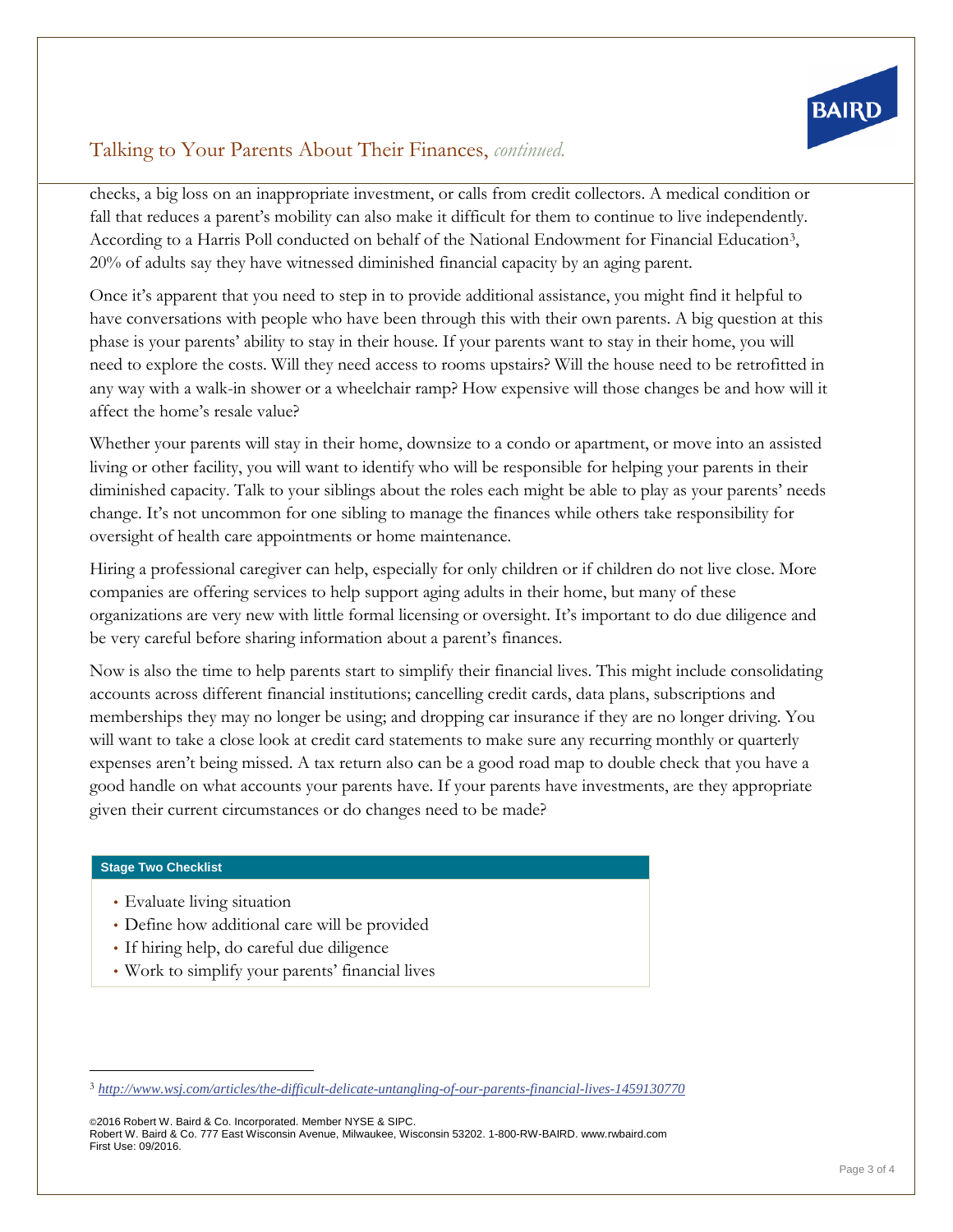

## Talking to Your Parents About Their Finances, *continued.*

checks, a big loss on an inappropriate investment, or calls from credit collectors. A medical condition or fall that reduces a parent's mobility can also make it difficult for them to continue to live independently. According to a Harris Poll conducted on behalf of the National Endowment for Financial Education<sup>[3](#page-2-0)</sup>, 20% of adults say they have witnessed diminished financial capacity by an aging parent.

Once it's apparent that you need to step in to provide additional assistance, you might find it helpful to have conversations with people who have been through this with their own parents. A big question at this phase is your parents' ability to stay in their house. If your parents want to stay in their home, you will need to explore the costs. Will they need access to rooms upstairs? Will the house need to be retrofitted in any way with a walk-in shower or a wheelchair ramp? How expensive will those changes be and how will it affect the home's resale value?

Whether your parents will stay in their home, downsize to a condo or apartment, or move into an assisted living or other facility, you will want to identify who will be responsible for helping your parents in their diminished capacity. Talk to your siblings about the roles each might be able to play as your parents' needs change. It's not uncommon for one sibling to manage the finances while others take responsibility for oversight of health care appointments or home maintenance.

Hiring a professional caregiver can help, especially for only children or if children do not live close. More companies are offering services to help support aging adults in their home, but many of these organizations are very new with little formal licensing or oversight. It's important to do due diligence and be very careful before sharing information about a parent's finances.

Now is also the time to help parents start to simplify their financial lives. This might include consolidating accounts across different financial institutions; cancelling credit cards, data plans, subscriptions and memberships they may no longer be using; and dropping car insurance if they are no longer driving. You will want to take a close look at credit card statements to make sure any recurring monthly or quarterly expenses aren't being missed. A tax return also can be a good road map to double check that you have a good handle on what accounts your parents have. If your parents have investments, are they appropriate given their current circumstances or do changes need to be made?

#### **Stage Two Checklist**

- Evaluate living situation
- Define how additional care will be provided
- If hiring help, do careful due diligence
- Work to simplify your parents' financial lives

©2016 Robert W. Baird & Co. Incorporated. Member NYSE & SIPC. Robert W. Baird & Co. 777 East Wisconsin Avenue, Milwaukee, Wisconsin 53202. 1-800-RW-BAIRD. www.rwbaird.com First Use: 09/2016.

<span id="page-2-0"></span> <sup>3</sup> *<http://www.wsj.com/articles/the-difficult-delicate-untangling-of-our-parents-financial-lives-1459130770>*